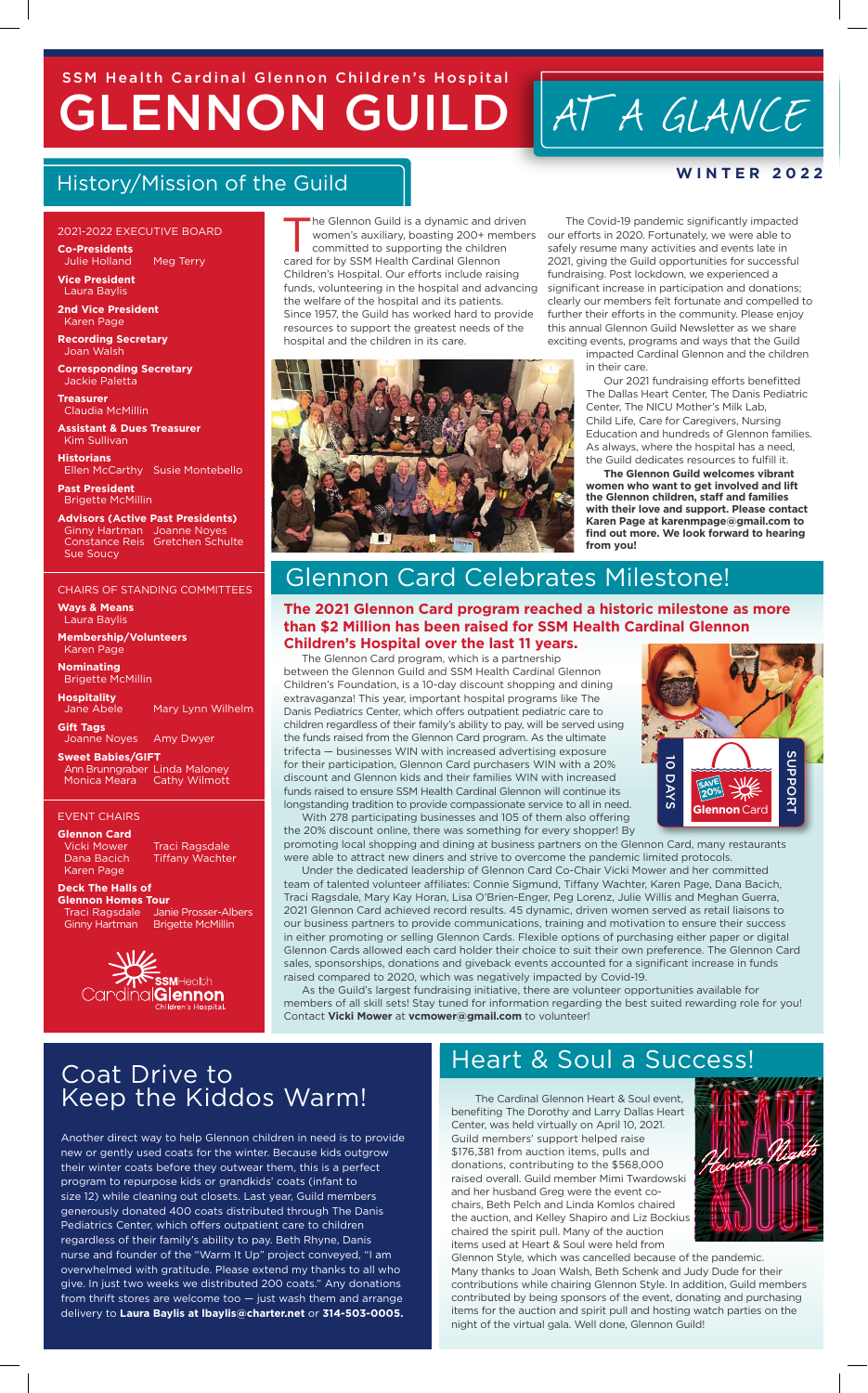# SSM Health Cardinal Glennon Children's Hospital GLENNON GUILD AT A GLANCE

### History/Mission of the Guild

2021-2022 EXECUTIVE BOARD **Co-Presidents** Julie Holland Meg Terry

**Vice President** ra Bayl

**2nd Vice President**  Karen Page

**Recording Secretary** an Walsh

**Corresponding Secretary** Jackie Paletta

**Treasurer** Claudia McMillin

Sue Soucy

**Assistant & Dues Treasurer** im Sullivan

**Historians** Ellen McCarthy Susie Montebello **Past President**

igette McMillin **Advisors (Active Past Presidents)** Ginny Hartman Joanne Noyes Constance Reis Gretchen Schulte

CHAIRS OF STANDING COMMITTEES **Ways & Means**

 Laura Baylis **Membership/Volunteers** Karen Page **Nominating** Brigette McMillin **Hospitality** Mary Lynn Wilhelm **Gift Tags** Joanne Noyes Amy Dwyer

**Sweet Babies/GIFT** Ann Brunngraber Linda Maloney Monica Meara Cathy Wilmott

EVENT CHAIRS

**Glennon Card**<br>
Vicki Mower<br>
Dana Bacich Vicki Mower Traci Ragsdale Dana Bacich Tiffany Wachter Karen Page

**Deck The Halls of Glennon Homes Tour**  Traci Ragsdale Janie Prosser-Albers Ginny Hartman Brigette McMillin



The Glennon Guild is a dynamic and driven<br>women's auxiliary, boasting 200+ member<br>committed to supporting the children<br>cared for by SSM Health Cardinal Clannen women's auxiliary, boasting 200+ members committed to supporting the children cared for by SSM Health Cardinal Glennon Children's Hospital. Our efforts include raising funds, volunteering in the hospital and advancing the welfare of the hospital and its patients. Since 1957, the Guild has worked hard to provide resources to support the greatest needs of the hospital and the children in its care.



The Covid-19 pandemic significantly impacted our efforts in 2020. Fortunately, we were able to safely resume many activities and events late in 2021, giving the Guild opportunities for successful fundraising. Post lockdown, we experienced a significant increase in participation and donations; clearly our members felt fortunate and compelled to further their efforts in the community. Please enjoy this annual Glennon Guild Newsletter as we share exciting events, programs and ways that the Guild

impacted Cardinal Glennon and the children in their care.

Our 2021 fundraising efforts benefitted The Dallas Heart Center, The Danis Pediatric Center, The NICU Mother's Milk Lab, Child Life, Care for Caregivers, Nursing Education and hundreds of Glennon families. As always, where the hospital has a need, the Guild dedicates resources to fulfill it.

**The Glennon Guild welcomes vibrant women who want to get involved and lift the Glennon children, staff and families with their love and support. Please contact Karen Page at karenmpage@gmail.com to find out more. We look forward to hearing from you!**

### Glennon Card Celebrates Milestone!

### **The 2021 Glennon Card program reached a historic milestone as more than \$2 Million has been raised for SSM Health Cardinal Glennon Children's Hospital over the last 11 years.**

The Glennon Card program, which is a partnership between the Glennon Guild and SSM Health Cardinal Glennon Children's Foundation, is a 10-day discount shopping and dining extravaganza! This year, important hospital programs like The Danis Pediatrics Center, which offers outpatient pediatric care to children regardless of their family's ability to pay, will be served using the funds raised from the Glennon Card program. As the ultimate trifecta — businesses WIN with increased advertising exposure for their participation, Glennon Card purchasers WIN with a 20% discount and Glennon kids and their families WIN with increased funds raised to ensure SSM Health Cardinal Glennon will continue its longstanding tradition to provide compassionate service to all in need. With 278 participating businesses and 105 of them also offering



the 20% discount online, there was something for every shopper! By promoting local shopping and dining at business partners on the Glennon Card, many restaurants were able to attract new diners and strive to overcome the pandemic limited protocols.

Under the dedicated leadership of Glennon Card Co-Chair Vicki Mower and her committed team of talented volunteer affiliates: Connie Sigmund, Tiffany Wachter, Karen Page, Dana Bacich, Traci Ragsdale, Mary Kay Horan, Lisa O'Brien-Enger, Peg Lorenz, Julie Willis and Meghan Guerra, 2021 Glennon Card achieved record results. 45 dynamic, driven women served as retail liaisons to our business partners to provide communications, training and motivation to ensure their success in either promoting or selling Glennon Cards. Flexible options of purchasing either paper or digital Glennon Cards allowed each card holder their choice to suit their own preference. The Glennon Card sales, sponsorships, donations and giveback events accounted for a significant increase in funds raised compared to 2020, which was negatively impacted by Covid-19. Card purchasers WIN with a 20%<br>
Meir families WIN with increased<br>
Cardinal Glennon will continue its<br>
Exerces to all in need.<br>
Sesses and 105 of them also offering<br>
as something for every shopper! By<br>
anima strive to owerc

As the Guild's largest fundraising initiative, there are volunteer opportunities available for members of all skill sets! Stay tuned for information regarding the best suited rewarding role for you! Contact **Vicki Mower** at **vcmower@gmail.com** to volunteer!

### Coat Drive to Keep the Kiddos Warm!

Another direct way to help Glennon children in need is to provide new or gently used coats for the winter. Because kids outgrow their winter coats before they outwear them, this is a perfect program to repurpose kids or grandkids' coats (infant to size 12) while cleaning out closets. Last year, Guild members generously donated 400 coats distributed through The Danis Pediatrics Center, which offers outpatient care to children regardless of their family's ability to pay. Beth Rhyne, Danis nurse and founder of the "Warm It Up" project conveyed, "I am overwhelmed with gratitude. Please extend my thanks to all who give. In just two weeks we distributed 200 coats." Any donations from thrift stores are welcome too — just wash them and arrange delivery to **Laura Baylis at lbaylis@charter.net** or **314-503-0005.**

The Cardinal Glennon Heart & Soul event, benefiting The Dorothy and Larry Dallas Heart Center, was held virtually on April 10, 2021. Guild members' support helped raise \$176,381 from auction items, pulls and donations, contributing to the \$568,000 raised overall. Guild member Mimi Twardowski and her husband Greg were the event cochairs, Beth Pelch and Linda Komlos chaired the auction, and Kelley Shapiro and Liz Bockius chaired the spirit pull. Many of the auction items used at Heart & Soul were held from



Glennon Style, which was cancelled because of the pandemic. Many thanks to Joan Walsh, Beth Schenk and Judy Dude for their contributions while chairing Glennon Style. In addition, Guild members contributed by being sponsors of the event, donating and purchasing items for the auction and spirit pull and hosting watch parties on the night of the virtual gala. Well done, Glennon Guild! APRIL 10, 2021 *VIRTUAL EVENT*

### **WINTER 2022**